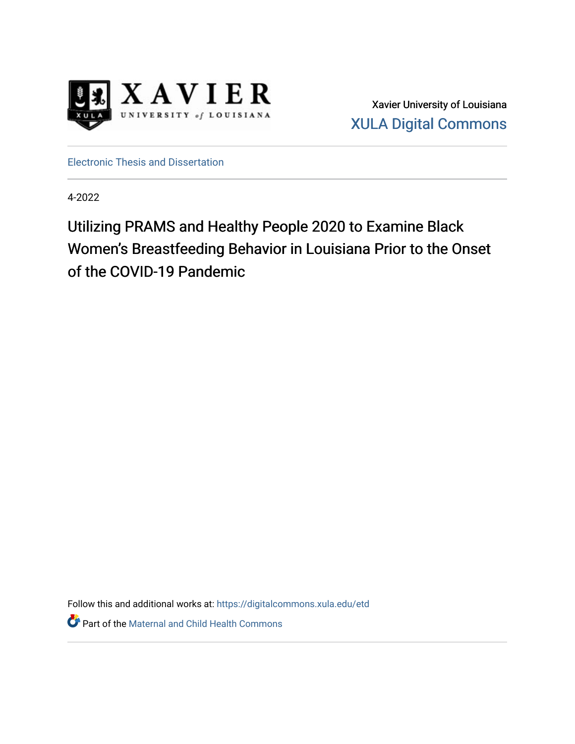

Xavier University of Louisiana [XULA Digital Commons](https://digitalcommons.xula.edu/) 

[Electronic Thesis and Dissertation](https://digitalcommons.xula.edu/etd) 

4-2022

Utilizing PRAMS and Healthy People 2020 to Examine Black Women's Breastfeeding Behavior in Louisiana Prior to the Onset of the COVID-19 Pandemic

Follow this and additional works at: [https://digitalcommons.xula.edu/etd](https://digitalcommons.xula.edu/etd?utm_source=digitalcommons.xula.edu%2Fetd%2F71&utm_medium=PDF&utm_campaign=PDFCoverPages) 

Part of the [Maternal and Child Health Commons](https://network.bepress.com/hgg/discipline/745?utm_source=digitalcommons.xula.edu%2Fetd%2F71&utm_medium=PDF&utm_campaign=PDFCoverPages)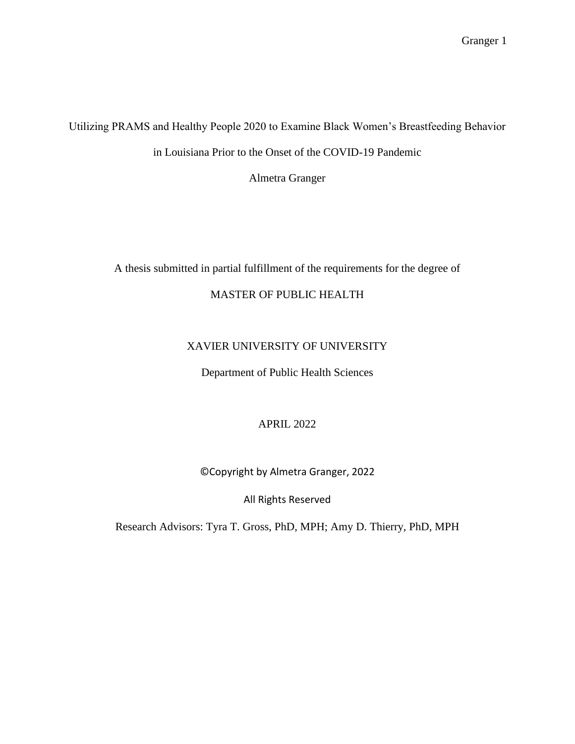Utilizing PRAMS and Healthy People 2020 to Examine Black Women's Breastfeeding Behavior in Louisiana Prior to the Onset of the COVID-19 Pandemic

Almetra Granger

# A thesis submitted in partial fulfillment of the requirements for the degree of

# MASTER OF PUBLIC HEALTH

# XAVIER UNIVERSITY OF UNIVERSITY

Department of Public Health Sciences

# APRIL 2022

# ©Copyright by Almetra Granger, 2022

# All Rights Reserved

Research Advisors: Tyra T. Gross, PhD, MPH; Amy D. Thierry, PhD, MPH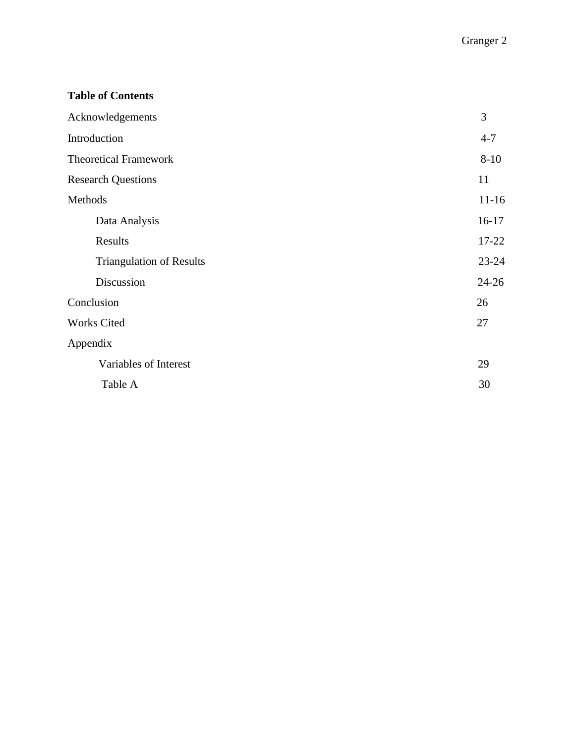# **Table of Contents**

| Acknowledgements                | 3         |
|---------------------------------|-----------|
| Introduction                    | $4 - 7$   |
| <b>Theoretical Framework</b>    | $8 - 10$  |
| <b>Research Questions</b>       | 11        |
| Methods                         | $11 - 16$ |
| Data Analysis                   | $16-17$   |
| Results                         | 17-22     |
| <b>Triangulation of Results</b> | $23 - 24$ |
| Discussion                      | $24 - 26$ |
| Conclusion                      | 26        |
| <b>Works Cited</b>              | 27        |
| Appendix                        |           |
| Variables of Interest           | 29        |
| Table A                         | 30        |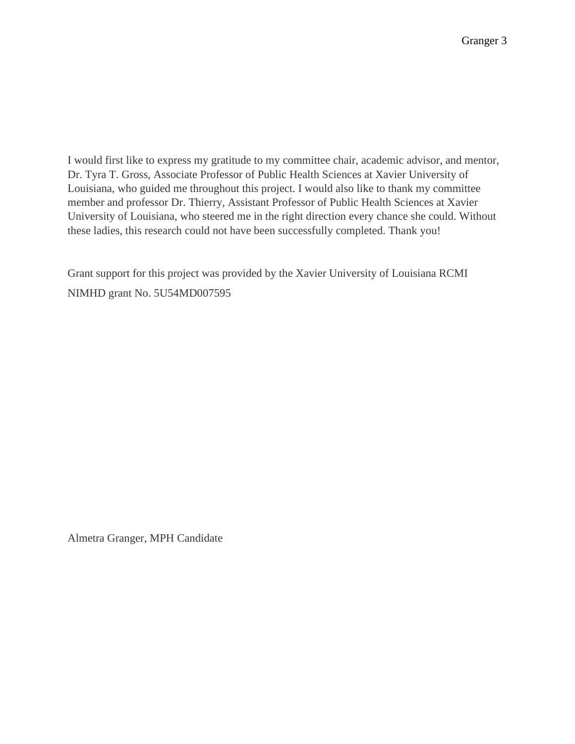I would first like to express my gratitude to my committee chair, academic advisor, and mentor, Dr. Tyra T. Gross, Associate Professor of Public Health Sciences at Xavier University of Louisiana, who guided me throughout this project. I would also like to thank my committee member and professor Dr. Thierry, Assistant Professor of Public Health Sciences at Xavier University of Louisiana, who steered me in the right direction every chance she could. Without these ladies, this research could not have been successfully completed. Thank you!

Grant support for this project was provided by the Xavier University of Louisiana RCMI NIMHD grant No. 5U54MD007595

Almetra Granger, MPH Candidate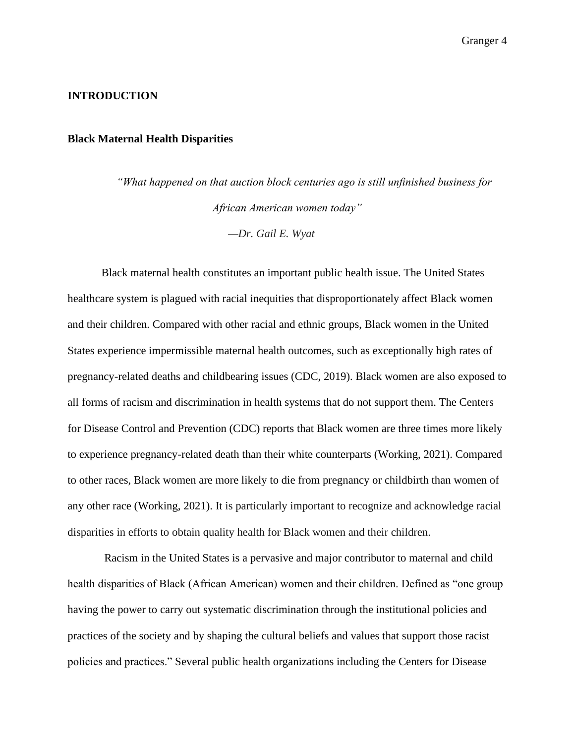#### **INTRODUCTION**

#### **Black Maternal Health Disparities**

*"What happened on that auction block centuries ago is still unfinished business for African American women today" —Dr. Gail E. Wyat*

Black maternal health constitutes an important public health issue. The United States healthcare system is plagued with racial inequities that disproportionately affect Black women and their children. Compared with other racial and ethnic groups, Black women in the United States experience impermissible maternal health outcomes, such as exceptionally high rates of pregnancy-related deaths and childbearing issues (CDC, 2019). Black women are also exposed to all forms of racism and discrimination in health systems that do not support them. The Centers for Disease Control and Prevention (CDC) reports that Black women are three times more likely to experience pregnancy-related death than their white counterparts (Working, 2021). Compared to other races, Black women are more likely to die from pregnancy or childbirth than women of any other race (Working, 2021). It is particularly important to recognize and acknowledge racial disparities in efforts to obtain quality health for Black women and their children.

Racism in the United States is a pervasive and major contributor to maternal and child health disparities of Black (African American) women and their children. Defined as "one group having the power to carry out systematic discrimination through the institutional policies and practices of the society and by shaping the cultural beliefs and values that support those racist policies and practices." Several public health organizations including the Centers for Disease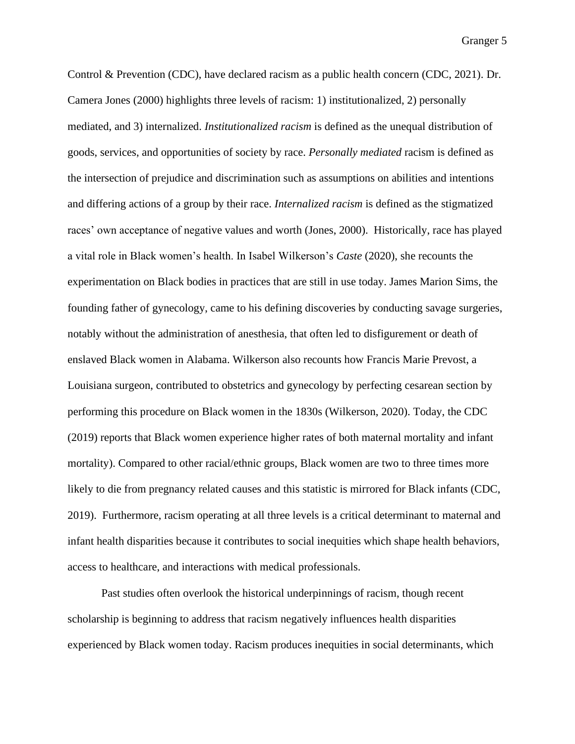Control & Prevention (CDC), have declared racism as a public health concern (CDC, 2021). Dr. Camera Jones (2000) highlights three levels of racism: 1) institutionalized, 2) personally mediated, and 3) internalized. *Institutionalized racism* is defined as the unequal distribution of goods, services, and opportunities of society by race. *Personally mediated* racism is defined as the intersection of prejudice and discrimination such as assumptions on abilities and intentions and differing actions of a group by their race. *Internalized racism* is defined as the stigmatized races' own acceptance of negative values and worth (Jones, 2000). Historically, race has played a vital role in Black women's health. In Isabel Wilkerson's *Caste* (2020), she recounts the experimentation on Black bodies in practices that are still in use today. James Marion Sims, the founding father of gynecology, came to his defining discoveries by conducting savage surgeries, notably without the administration of anesthesia, that often led to disfigurement or death of enslaved Black women in Alabama. Wilkerson also recounts how Francis Marie Prevost, a Louisiana surgeon, contributed to obstetrics and gynecology by perfecting cesarean section by performing this procedure on Black women in the 1830s (Wilkerson, 2020). Today, the CDC (2019) reports that Black women experience higher rates of both maternal mortality and infant mortality). Compared to other racial/ethnic groups, Black women are two to three times more likely to die from pregnancy related causes and this statistic is mirrored for Black infants (CDC, 2019). Furthermore, racism operating at all three levels is a critical determinant to maternal and infant health disparities because it contributes to social inequities which shape health behaviors, access to healthcare, and interactions with medical professionals.

Past studies often overlook the historical underpinnings of racism, though recent scholarship is beginning to address that racism negatively influences health disparities experienced by Black women today. Racism produces inequities in social determinants, which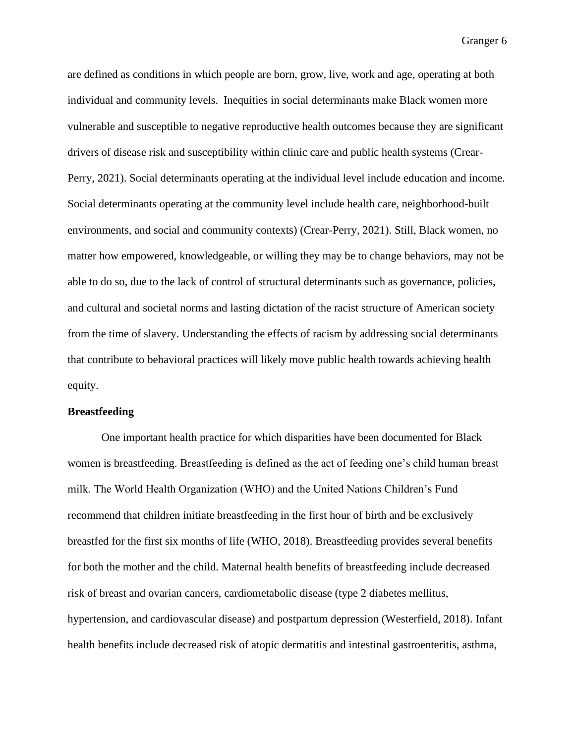are defined as conditions in which people are born, grow, live, work and age, operating at both individual and community levels. Inequities in social determinants make Black women more vulnerable and susceptible to negative reproductive health outcomes because they are significant drivers of disease risk and susceptibility within clinic care and public health systems (Crear-Perry, 2021). Social determinants operating at the individual level include education and income. Social determinants operating at the community level include health care, neighborhood-built environments, and social and community contexts) (Crear-Perry, 2021). Still, Black women, no matter how empowered, knowledgeable, or willing they may be to change behaviors, may not be able to do so, due to the lack of control of structural determinants such as governance, policies, and cultural and societal norms and lasting dictation of the racist structure of American society from the time of slavery. Understanding the effects of racism by addressing social determinants that contribute to behavioral practices will likely move public health towards achieving health equity.

### **Breastfeeding**

One important health practice for which disparities have been documented for Black women is breastfeeding. Breastfeeding is defined as the act of feeding one's child human breast milk. The World Health Organization (WHO) and the United Nations Children's Fund recommend that children initiate breastfeeding in the first hour of birth and be exclusively breastfed for the first six months of life (WHO, 2018). Breastfeeding provides several benefits for both the mother and the child. Maternal health benefits of breastfeeding include decreased risk of breast and ovarian cancers, cardiometabolic disease (type 2 diabetes mellitus, hypertension, and cardiovascular disease) and postpartum depression (Westerfield, 2018). Infant health benefits include decreased risk of atopic dermatitis and intestinal gastroenteritis, asthma,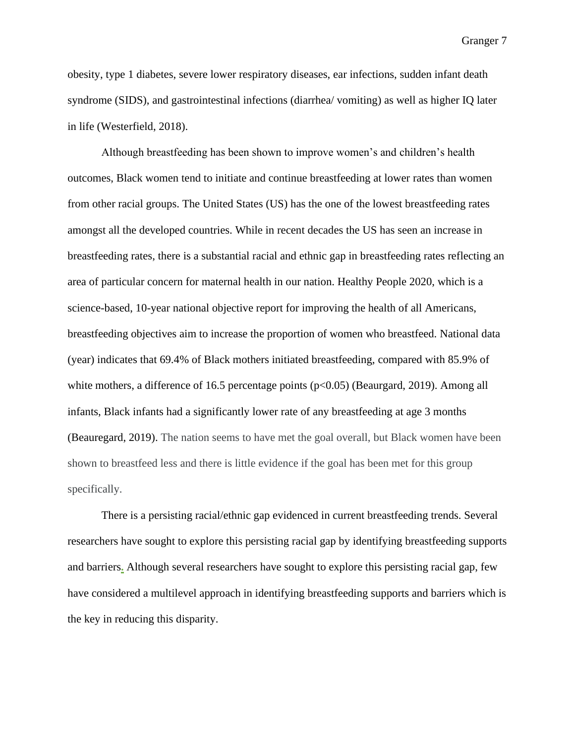obesity, type 1 diabetes, severe lower respiratory diseases, ear infections, sudden infant death syndrome (SIDS), and gastrointestinal infections (diarrhea/ vomiting) as well as higher IQ later in life (Westerfield, 2018).

Although breastfeeding has been shown to improve women's and children's health outcomes, Black women tend to initiate and continue breastfeeding at lower rates than women from other racial groups. The United States (US) has the one of the lowest breastfeeding rates amongst all the developed countries. While in recent decades the US has seen an increase in breastfeeding rates, there is a substantial racial and ethnic gap in breastfeeding rates reflecting an area of particular concern for maternal health in our nation. Healthy People 2020, which is a science-based, 10-year national objective report for improving the health of all Americans, breastfeeding objectives aim to increase the proportion of women who breastfeed. National data (year) indicates that 69.4% of Black mothers initiated breastfeeding, compared with 85.9% of white mothers, a difference of 16.5 percentage points ( $p<0.05$ ) (Beaurgard, 2019). Among all infants, Black infants had a significantly lower rate of any breastfeeding at age 3 months (Beauregard, 2019). The nation seems to have met the goal overall, but Black women have been shown to breastfeed less and there is little evidence if the goal has been met for this group specifically.

There is a persisting racial/ethnic gap evidenced in current breastfeeding trends. Several researchers have sought to explore this persisting racial gap by identifying breastfeeding supports and barriers**.** Although several researchers have sought to explore this persisting racial gap, few have considered a multilevel approach in identifying breastfeeding supports and barriers which is the key in reducing this disparity.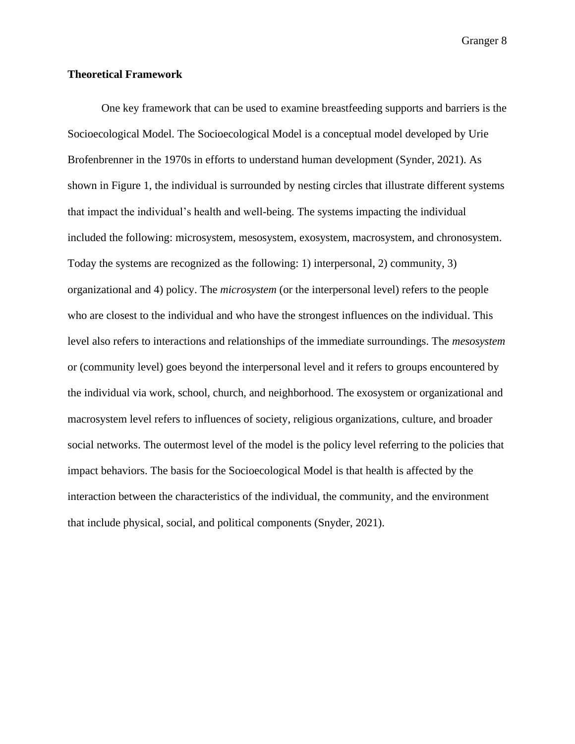### **Theoretical Framework**

One key framework that can be used to examine breastfeeding supports and barriers is the Socioecological Model. The Socioecological Model is a conceptual model developed by Urie Brofenbrenner in the 1970s in efforts to understand human development (Synder, 2021). As shown in Figure 1, the individual is surrounded by nesting circles that illustrate different systems that impact the individual's health and well-being. The systems impacting the individual included the following: microsystem, mesosystem, exosystem, macrosystem, and chronosystem. Today the systems are recognized as the following: 1) interpersonal, 2) community, 3) organizational and 4) policy. The *microsystem* (or the interpersonal level) refers to the people who are closest to the individual and who have the strongest influences on the individual. This level also refers to interactions and relationships of the immediate surroundings. The *mesosystem* or (community level) goes beyond the interpersonal level and it refers to groups encountered by the individual via work, school, church, and neighborhood. The exosystem or organizational and macrosystem level refers to influences of society, religious organizations, culture, and broader social networks. The outermost level of the model is the policy level referring to the policies that impact behaviors. The basis for the Socioecological Model is that health is affected by the interaction between the characteristics of the individual, the community, and the environment that include physical, social, and political components (Snyder, 2021).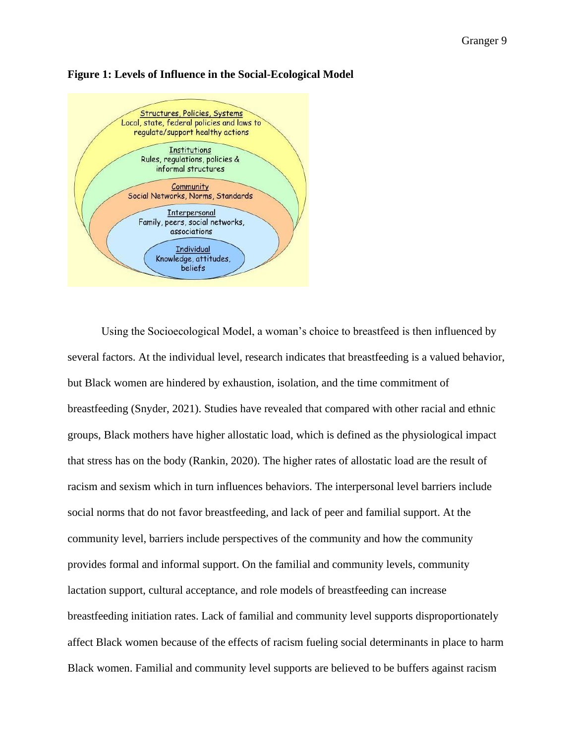

#### **Figure 1: Levels of Influence in the Social-Ecological Model**

Using the Socioecological Model, a woman's choice to breastfeed is then influenced by several factors. At the individual level, research indicates that breastfeeding is a valued behavior, but Black women are hindered by exhaustion, isolation, and the time commitment of breastfeeding (Snyder, 2021). Studies have revealed that compared with other racial and ethnic groups, Black mothers have higher allostatic load, which is defined as the physiological impact that stress has on the body (Rankin, 2020). The higher rates of allostatic load are the result of racism and sexism which in turn influences behaviors. The interpersonal level barriers include social norms that do not favor breastfeeding, and lack of peer and familial support. At the community level, barriers include perspectives of the community and how the community provides formal and informal support. On the familial and community levels, community lactation support, cultural acceptance, and role models of breastfeeding can increase breastfeeding initiation rates. Lack of familial and community level supports disproportionately affect Black women because of the effects of racism fueling social determinants in place to harm Black women. Familial and community level supports are believed to be buffers against racism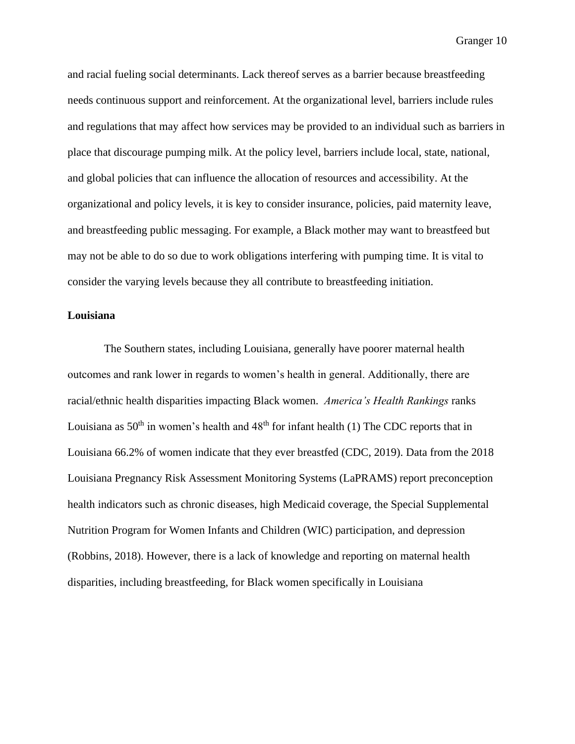and racial fueling social determinants. Lack thereof serves as a barrier because breastfeeding needs continuous support and reinforcement. At the organizational level, barriers include rules and regulations that may affect how services may be provided to an individual such as barriers in place that discourage pumping milk. At the policy level, barriers include local, state, national, and global policies that can influence the allocation of resources and accessibility. At the organizational and policy levels, it is key to consider insurance, policies, paid maternity leave, and breastfeeding public messaging. For example, a Black mother may want to breastfeed but may not be able to do so due to work obligations interfering with pumping time. It is vital to consider the varying levels because they all contribute to breastfeeding initiation.

### **Louisiana**

The Southern states, including Louisiana, generally have poorer maternal health outcomes and rank lower in regards to women's health in general. Additionally, there are racial/ethnic health disparities impacting Black women. *America's Health Rankings* ranks Louisiana as  $50<sup>th</sup>$  in women's health and  $48<sup>th</sup>$  for infant health (1) The CDC reports that in Louisiana 66.2% of women indicate that they ever breastfed (CDC, 2019). Data from the 2018 Louisiana Pregnancy Risk Assessment Monitoring Systems (LaPRAMS) report preconception health indicators such as chronic diseases, high Medicaid coverage, the Special Supplemental Nutrition Program for Women Infants and Children (WIC) participation, and depression (Robbins, 2018). However, there is a lack of knowledge and reporting on maternal health disparities, including breastfeeding, for Black women specifically in Louisiana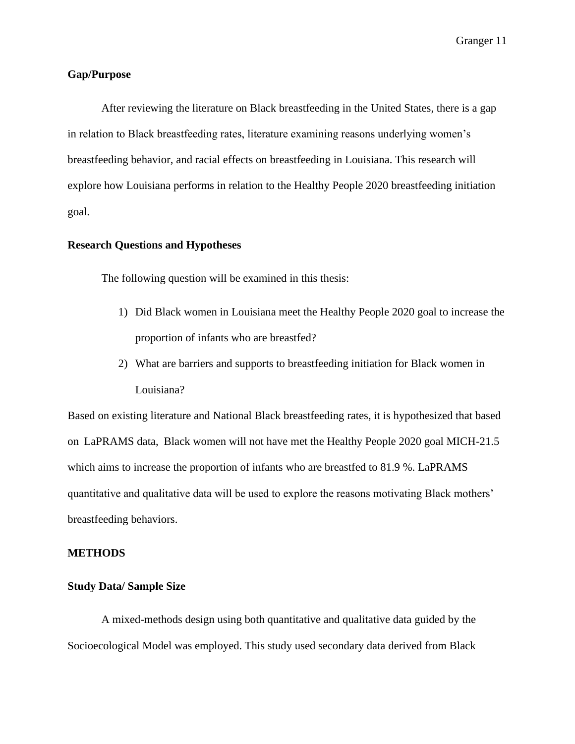### **Gap/Purpose**

After reviewing the literature on Black breastfeeding in the United States, there is a gap in relation to Black breastfeeding rates, literature examining reasons underlying women's breastfeeding behavior, and racial effects on breastfeeding in Louisiana. This research will explore how Louisiana performs in relation to the Healthy People 2020 breastfeeding initiation goal.

### **Research Questions and Hypotheses**

The following question will be examined in this thesis:

- 1) Did Black women in Louisiana meet the Healthy People 2020 goal to increase the proportion of infants who are breastfed?
- 2) What are barriers and supports to breastfeeding initiation for Black women in Louisiana?

Based on existing literature and National Black breastfeeding rates, it is hypothesized that based on LaPRAMS data, Black women will not have met the Healthy People 2020 goal MICH-21.5 which aims to increase the proportion of infants who are breastfed to 81.9 %. LaPRAMS quantitative and qualitative data will be used to explore the reasons motivating Black mothers' breastfeeding behaviors.

### **METHODS**

### **Study Data/ Sample Size**

A mixed-methods design using both quantitative and qualitative data guided by the Socioecological Model was employed. This study used secondary data derived from Black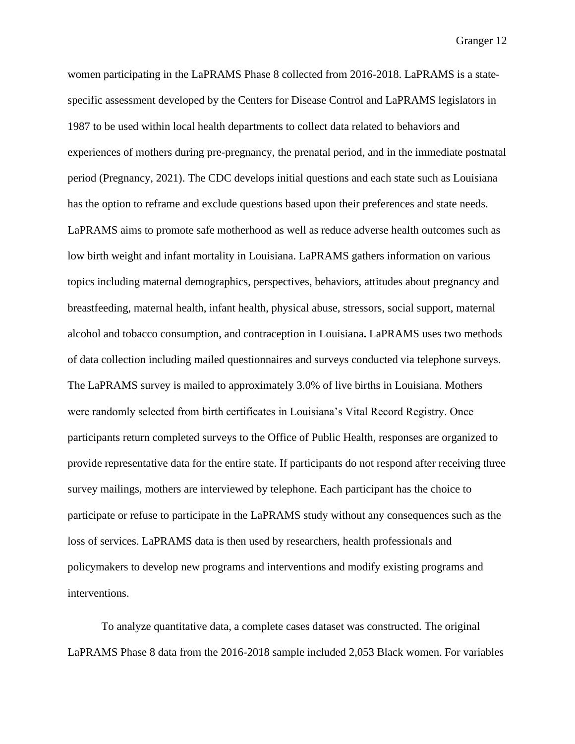women participating in the LaPRAMS Phase 8 collected from 2016-2018. LaPRAMS is a statespecific assessment developed by the Centers for Disease Control and LaPRAMS legislators in 1987 to be used within local health departments to collect data related to behaviors and experiences of mothers during pre-pregnancy, the prenatal period, and in the immediate postnatal period (Pregnancy, 2021). The CDC develops initial questions and each state such as Louisiana has the option to reframe and exclude questions based upon their preferences and state needs. LaPRAMS aims to promote safe motherhood as well as reduce adverse health outcomes such as low birth weight and infant mortality in Louisiana. LaPRAMS gathers information on various topics including maternal demographics, perspectives, behaviors, attitudes about pregnancy and breastfeeding, maternal health, infant health, physical abuse, stressors, social support, maternal alcohol and tobacco consumption, and contraception in Louisiana**.** LaPRAMS uses two methods of data collection including mailed questionnaires and surveys conducted via telephone surveys. The LaPRAMS survey is mailed to approximately 3.0% of live births in Louisiana. Mothers were randomly selected from birth certificates in Louisiana's Vital Record Registry. Once participants return completed surveys to the Office of Public Health, responses are organized to provide representative data for the entire state. If participants do not respond after receiving three survey mailings, mothers are interviewed by telephone. Each participant has the choice to participate or refuse to participate in the LaPRAMS study without any consequences such as the loss of services. LaPRAMS data is then used by researchers, health professionals and policymakers to develop new programs and interventions and modify existing programs and interventions.

To analyze quantitative data, a complete cases dataset was constructed. The original LaPRAMS Phase 8 data from the 2016-2018 sample included 2,053 Black women. For variables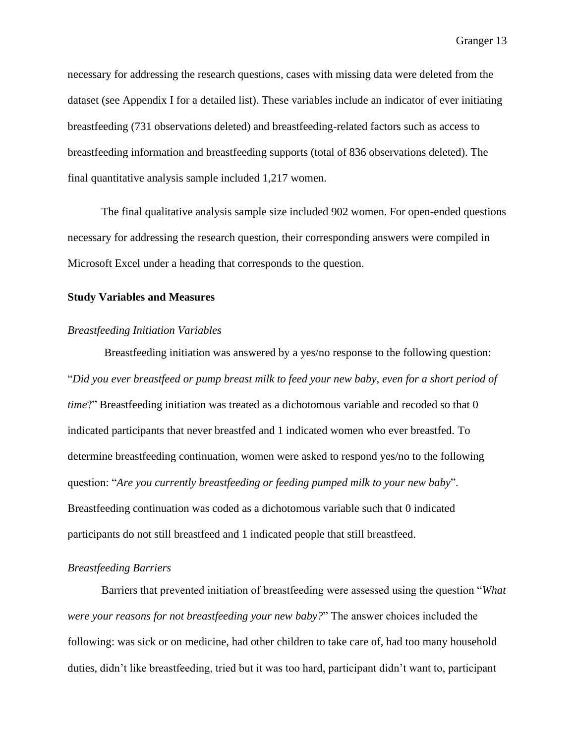necessary for addressing the research questions, cases with missing data were deleted from the dataset (see Appendix I for a detailed list). These variables include an indicator of ever initiating breastfeeding (731 observations deleted) and breastfeeding-related factors such as access to breastfeeding information and breastfeeding supports (total of 836 observations deleted). The final quantitative analysis sample included 1,217 women.

The final qualitative analysis sample size included 902 women. For open-ended questions necessary for addressing the research question, their corresponding answers were compiled in Microsoft Excel under a heading that corresponds to the question.

### **Study Variables and Measures**

### *Breastfeeding Initiation Variables*

Breastfeeding initiation was answered by a yes/no response to the following question: "*Did you ever breastfeed or pump breast milk to feed your new baby, even for a short period of time*?" Breastfeeding initiation was treated as a dichotomous variable and recoded so that 0 indicated participants that never breastfed and 1 indicated women who ever breastfed. To determine breastfeeding continuation, women were asked to respond yes/no to the following question: "*Are you currently breastfeeding or feeding pumped milk to your new baby*". Breastfeeding continuation was coded as a dichotomous variable such that 0 indicated participants do not still breastfeed and 1 indicated people that still breastfeed.

### *Breastfeeding Barriers*

Barriers that prevented initiation of breastfeeding were assessed using the question "*What were your reasons for not breastfeeding your new baby?*" The answer choices included the following: was sick or on medicine, had other children to take care of, had too many household duties, didn't like breastfeeding, tried but it was too hard, participant didn't want to, participant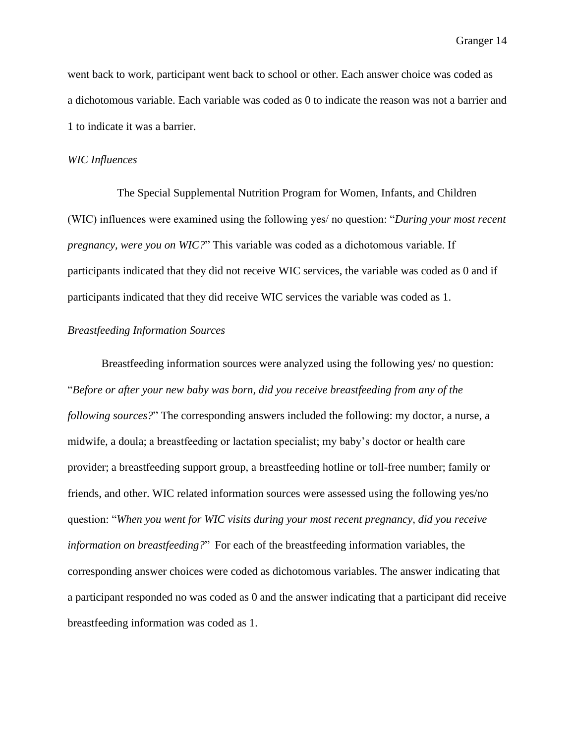went back to work, participant went back to school or other. Each answer choice was coded as a dichotomous variable. Each variable was coded as 0 to indicate the reason was not a barrier and 1 to indicate it was a barrier.

#### *WIC Influences*

 The Special Supplemental Nutrition Program for Women, Infants, and Children (WIC) influences were examined using the following yes/ no question: "*During your most recent pregnancy, were you on WIC?*" This variable was coded as a dichotomous variable. If participants indicated that they did not receive WIC services, the variable was coded as 0 and if participants indicated that they did receive WIC services the variable was coded as 1.

### *Breastfeeding Information Sources*

Breastfeeding information sources were analyzed using the following yes/ no question: "*Before or after your new baby was born, did you receive breastfeeding from any of the following sources?*" The corresponding answers included the following: my doctor, a nurse, a midwife, a doula; a breastfeeding or lactation specialist; my baby's doctor or health care provider; a breastfeeding support group, a breastfeeding hotline or toll-free number; family or friends, and other. WIC related information sources were assessed using the following yes/no question: "*When you went for WIC visits during your most recent pregnancy, did you receive information on breastfeeding?*" For each of the breastfeeding information variables, the corresponding answer choices were coded as dichotomous variables. The answer indicating that a participant responded no was coded as 0 and the answer indicating that a participant did receive breastfeeding information was coded as 1.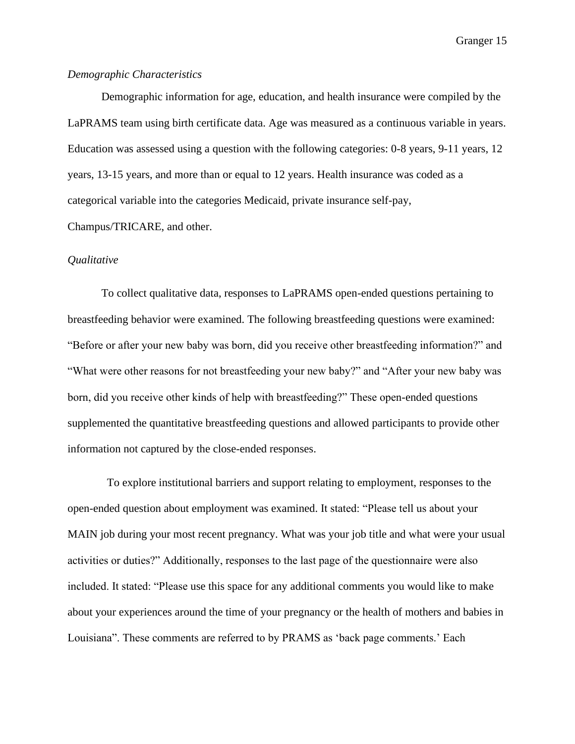### *Demographic Characteristics*

Demographic information for age, education, and health insurance were compiled by the LaPRAMS team using birth certificate data. Age was measured as a continuous variable in years. Education was assessed using a question with the following categories: 0-8 years, 9-11 years, 12 years, 13-15 years, and more than or equal to 12 years. Health insurance was coded as a categorical variable into the categories Medicaid, private insurance self-pay,

Champus/TRICARE, and other.

#### *Qualitative*

To collect qualitative data, responses to LaPRAMS open-ended questions pertaining to breastfeeding behavior were examined. The following breastfeeding questions were examined: "Before or after your new baby was born, did you receive other breastfeeding information?" and "What were other reasons for not breastfeeding your new baby?" and "After your new baby was born, did you receive other kinds of help with breastfeeding?" These open-ended questions supplemented the quantitative breastfeeding questions and allowed participants to provide other information not captured by the close-ended responses.

 To explore institutional barriers and support relating to employment, responses to the open-ended question about employment was examined. It stated: "Please tell us about your MAIN job during your most recent pregnancy. What was your job title and what were your usual activities or duties?" Additionally, responses to the last page of the questionnaire were also included. It stated: "Please use this space for any additional comments you would like to make about your experiences around the time of your pregnancy or the health of mothers and babies in Louisiana". These comments are referred to by PRAMS as 'back page comments.' Each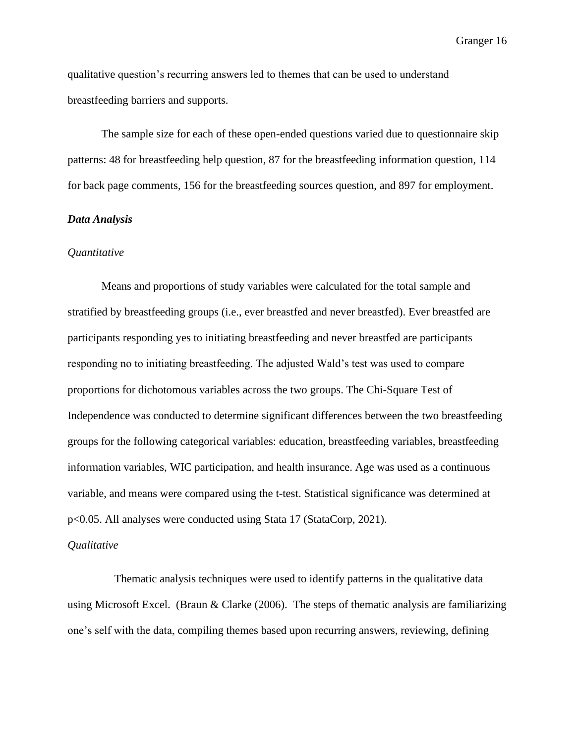qualitative question's recurring answers led to themes that can be used to understand breastfeeding barriers and supports.

The sample size for each of these open-ended questions varied due to questionnaire skip patterns: 48 for breastfeeding help question, 87 for the breastfeeding information question, 114 for back page comments, 156 for the breastfeeding sources question, and 897 for employment.

### *Data Analysis*

### *Quantitative*

Means and proportions of study variables were calculated for the total sample and stratified by breastfeeding groups (i.e., ever breastfed and never breastfed). Ever breastfed are participants responding yes to initiating breastfeeding and never breastfed are participants responding no to initiating breastfeeding. The adjusted Wald's test was used to compare proportions for dichotomous variables across the two groups. The Chi-Square Test of Independence was conducted to determine significant differences between the two breastfeeding groups for the following categorical variables: education, breastfeeding variables, breastfeeding information variables, WIC participation, and health insurance. Age was used as a continuous variable, and means were compared using the t-test. Statistical significance was determined at p<0.05. All analyses were conducted using Stata 17 (StataCorp, 2021).

#### *Qualitative*

 Thematic analysis techniques were used to identify patterns in the qualitative data using Microsoft Excel. (Braun & Clarke (2006). The steps of thematic analysis are familiarizing one's self with the data, compiling themes based upon recurring answers, reviewing, defining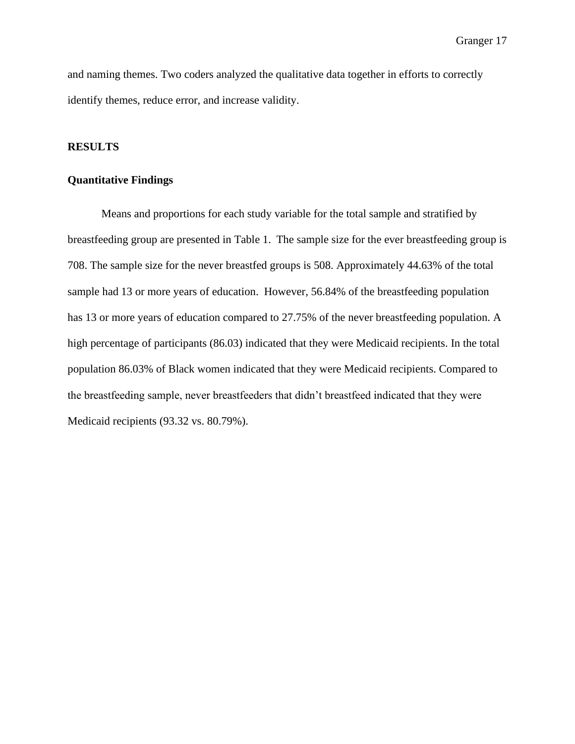and naming themes. Two coders analyzed the qualitative data together in efforts to correctly identify themes, reduce error, and increase validity.

### **RESULTS**

#### **Quantitative Findings**

Means and proportions for each study variable for the total sample and stratified by breastfeeding group are presented in Table 1. The sample size for the ever breastfeeding group is 708. The sample size for the never breastfed groups is 508. Approximately 44.63% of the total sample had 13 or more years of education. However, 56.84% of the breastfeeding population has 13 or more years of education compared to 27.75% of the never breastfeeding population. A high percentage of participants (86.03) indicated that they were Medicaid recipients. In the total population 86.03% of Black women indicated that they were Medicaid recipients. Compared to the breastfeeding sample, never breastfeeders that didn't breastfeed indicated that they were Medicaid recipients (93.32 vs. 80.79%).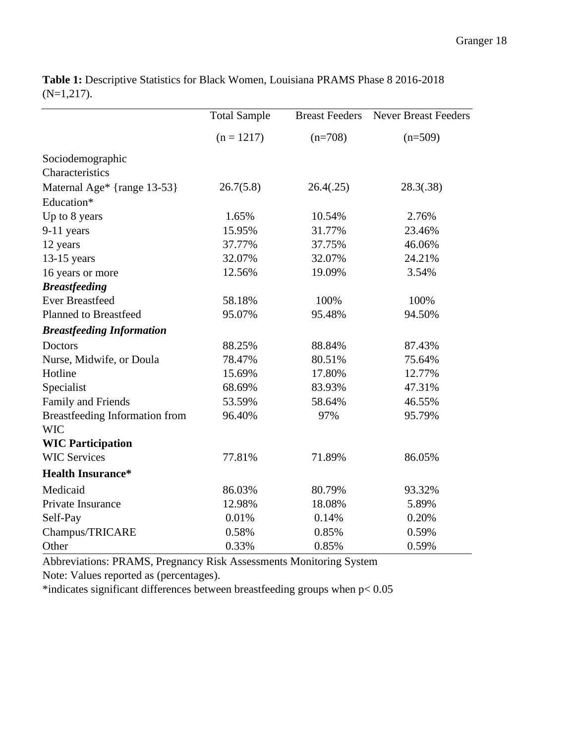|                                       | <b>Total Sample</b> | <b>Breast Feeders</b> | <b>Never Breast Feeders</b> |
|---------------------------------------|---------------------|-----------------------|-----------------------------|
|                                       | $(n = 1217)$        | $(n=708)$             | $(n=509)$                   |
| Sociodemographic                      |                     |                       |                             |
| Characteristics                       |                     |                       |                             |
| Maternal Age* {range 13-53}           | 26.7(5.8)           | 26.4(.25)             | 28.3(.38)                   |
| Education*                            |                     |                       |                             |
| Up to 8 years                         | 1.65%               | 10.54%                | 2.76%                       |
| $9-11$ years                          | 15.95%              | 31.77%                | 23.46%                      |
| 12 years                              | 37.77%              | 37.75%                | 46.06%                      |
| $13-15$ years                         | 32.07%              | 32.07%                | 24.21%                      |
| 16 years or more                      | 12.56%              | 19.09%                | 3.54%                       |
| <b>Breastfeeding</b>                  |                     |                       |                             |
| <b>Ever Breastfeed</b>                | 58.18%              | 100%                  | 100%                        |
| <b>Planned to Breastfeed</b>          | 95.07%              | 95.48%                | 94.50%                      |
| <b>Breastfeeding Information</b>      |                     |                       |                             |
| <b>Doctors</b>                        | 88.25%              | 88.84%                | 87.43%                      |
| Nurse, Midwife, or Doula              | 78.47%              | 80.51%                | 75.64%                      |
| Hotline                               | 15.69%              | 17.80%                | 12.77%                      |
| Specialist                            | 68.69%              | 83.93%                | 47.31%                      |
| Family and Friends                    | 53.59%              | 58.64%                | 46.55%                      |
| <b>Breastfeeding Information from</b> | 96.40%              | 97%                   | 95.79%                      |
| <b>WIC</b>                            |                     |                       |                             |
| <b>WIC Participation</b>              |                     |                       |                             |
| <b>WIC Services</b>                   | 77.81%              | 71.89%                | 86.05%                      |
| <b>Health Insurance*</b>              |                     |                       |                             |
| Medicaid                              | 86.03%              | 80.79%                | 93.32%                      |
| Private Insurance                     | 12.98%              | 18.08%                | 5.89%                       |
| Self-Pay                              | 0.01%               | 0.14%                 | 0.20%                       |
| Champus/TRICARE                       | 0.58%               | 0.85%                 | 0.59%                       |
| Other                                 | 0.33%               | 0.85%                 | 0.59%                       |

**Table 1:** Descriptive Statistics for Black Women, Louisiana PRAMS Phase 8 2016-2018 (N=1,217).

Abbreviations: PRAMS, Pregnancy Risk Assessments Monitoring System

Note: Values reported as (percentages).

\*indicates significant differences between breastfeeding groups when  $p < 0.05$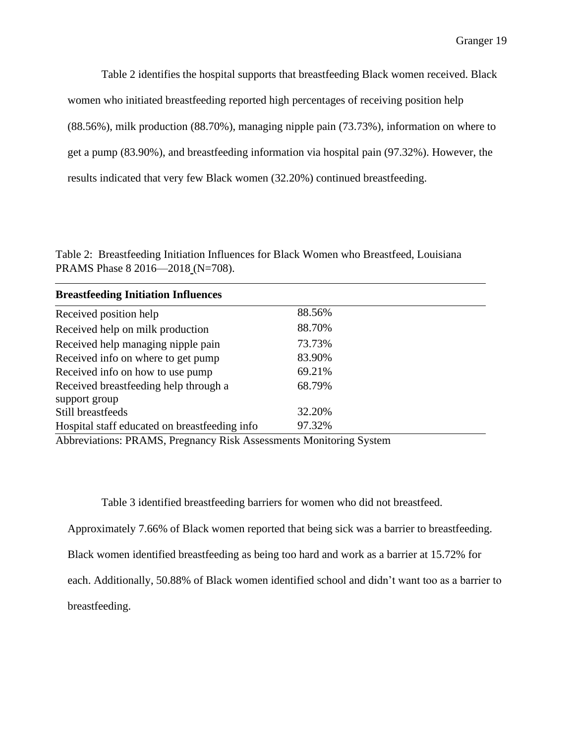Table 2 identifies the hospital supports that breastfeeding Black women received. Black women who initiated breastfeeding reported high percentages of receiving position help (88.56%), milk production (88.70%), managing nipple pain (73.73%), information on where to get a pump (83.90%), and breastfeeding information via hospital pain (97.32%). However, the results indicated that very few Black women (32.20%) continued breastfeeding.

Table 2: Breastfeeding Initiation Influences for Black Women who Breastfeed, Louisiana PRAMS Phase 8 2016—2018 (N=708).

| <b>Breastfeeding Initiation Influences</b>    |                             |  |
|-----------------------------------------------|-----------------------------|--|
| Received position help                        | 88.56%                      |  |
| Received help on milk production              | 88.70%                      |  |
| Received help managing nipple pain            | 73.73%                      |  |
| Received info on where to get pump            | 83.90%                      |  |
| Received info on how to use pump              | 69.21%                      |  |
| Received breastfeeding help through a         | 68.79%                      |  |
| support group                                 |                             |  |
| Still breastfeeds                             | 32.20%                      |  |
| Hospital staff educated on breastfeeding info | 97.32%                      |  |
| $\mathbf{111}$ $\mathbf{12}$ $\mathbf{13}$    | $\mathbf{r}$ , $\mathbf{r}$ |  |

Abbreviations: PRAMS, Pregnancy Risk Assessments Monitoring System

Table 3 identified breastfeeding barriers for women who did not breastfeed.

Approximately 7.66% of Black women reported that being sick was a barrier to breastfeeding.

Black women identified breastfeeding as being too hard and work as a barrier at 15.72% for

each. Additionally, 50.88% of Black women identified school and didn't want too as a barrier to

breastfeeding.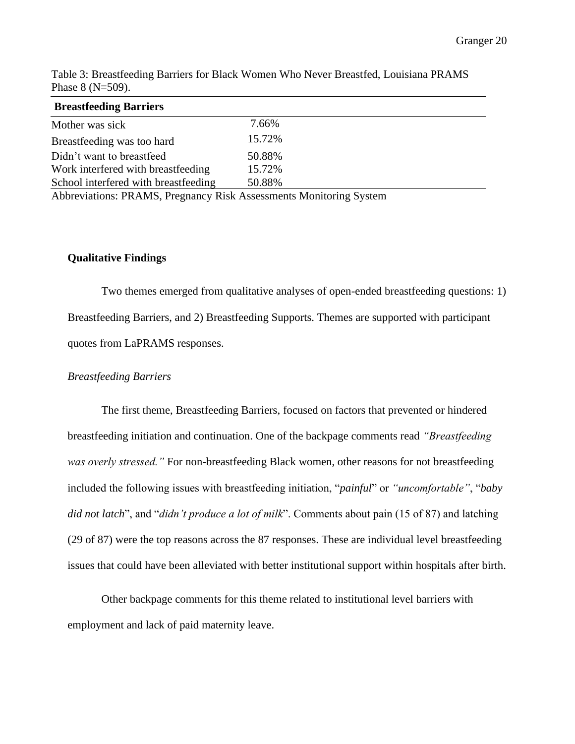| <b>Breastfeeding Barriers</b>                            |                                                |                                   |               |  |
|----------------------------------------------------------|------------------------------------------------|-----------------------------------|---------------|--|
| Mother was sick                                          | 7.66%                                          |                                   |               |  |
| Breastfeeding was too hard                               | 15.72%                                         |                                   |               |  |
| Didn't want to breastfeed                                | 50.88%                                         |                                   |               |  |
| Work interfered with breastfeeding                       | 15.72%                                         |                                   |               |  |
| School interfered with breastfeeding                     | 50.88%                                         |                                   |               |  |
| $\mathbf{111}$ $\mathbf{12}$ $\mathbf{13}$ $\mathbf{14}$ | $\mathbf{D}$ and $\mathbf{I}$ and $\mathbf{I}$ | $\mathbf{r}$ , where $\mathbf{r}$ | $\sim$ $\sim$ |  |

Table 3: Breastfeeding Barriers for Black Women Who Never Breastfed, Louisiana PRAMS Phase 8 (N=509).

Abbreviations: PRAMS, Pregnancy Risk Assessments Monitoring System

### **Qualitative Findings**

Two themes emerged from qualitative analyses of open-ended breastfeeding questions: 1) Breastfeeding Barriers, and 2) Breastfeeding Supports. Themes are supported with participant quotes from LaPRAMS responses.

### *Breastfeeding Barriers*

The first theme, Breastfeeding Barriers, focused on factors that prevented or hindered breastfeeding initiation and continuation. One of the backpage comments read *"Breastfeeding was overly stressed."* For non-breastfeeding Black women, other reasons for not breastfeeding included the following issues with breastfeeding initiation, "*painful*" or *"uncomfortable"*, "*baby did not latch*", and "*didn't produce a lot of milk*". Comments about pain (15 of 87) and latching (29 of 87) were the top reasons across the 87 responses. These are individual level breastfeeding issues that could have been alleviated with better institutional support within hospitals after birth.

Other backpage comments for this theme related to institutional level barriers with employment and lack of paid maternity leave.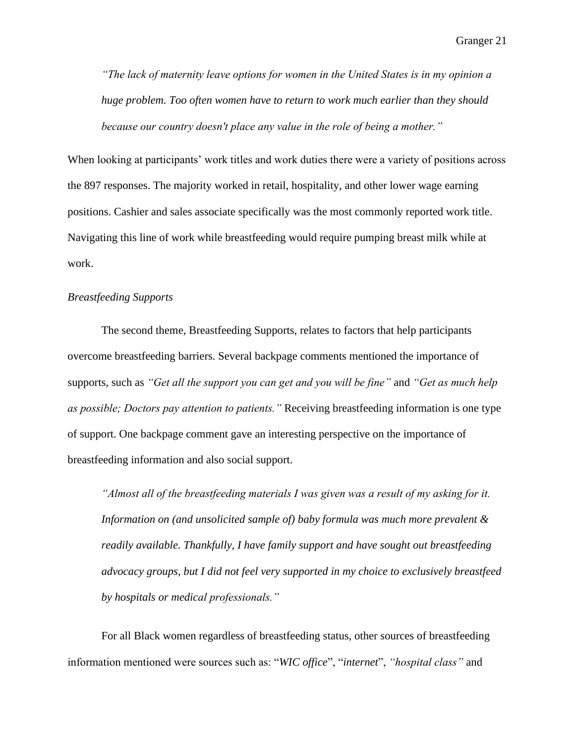*"The lack of maternity leave options for women in the United States is in my opinion a huge problem. Too often women have to return to work much earlier than they should because our country doesn't place any value in the role of being a mother."*

When looking at participants' work titles and work duties there were a variety of positions across the 897 responses. The majority worked in retail, hospitality, and other lower wage earning positions. Cashier and sales associate specifically was the most commonly reported work title. Navigating this line of work while breastfeeding would require pumping breast milk while at work.

### *Breastfeeding Supports*

The second theme, Breastfeeding Supports, relates to factors that help participants overcome breastfeeding barriers. Several backpage comments mentioned the importance of supports, such as *"Get all the support you can get and you will be fine"* and *"Get as much help as possible; Doctors pay attention to patients."* Receiving breastfeeding information is one type of support. One backpage comment gave an interesting perspective on the importance of breastfeeding information and also social support.

*"Almost all of the breastfeeding materials I was given was a result of my asking for it. Information on (and unsolicited sample of) baby formula was much more prevalent & readily available. Thankfully, I have family support and have sought out breastfeeding advocacy groups, but I did not feel very supported in my choice to exclusively breastfeed by hospitals or medical professionals."*

For all Black women regardless of breastfeeding status, other sources of breastfeeding information mentioned were sources such as: "*WIC office*", "*internet*", *"hospital class"* and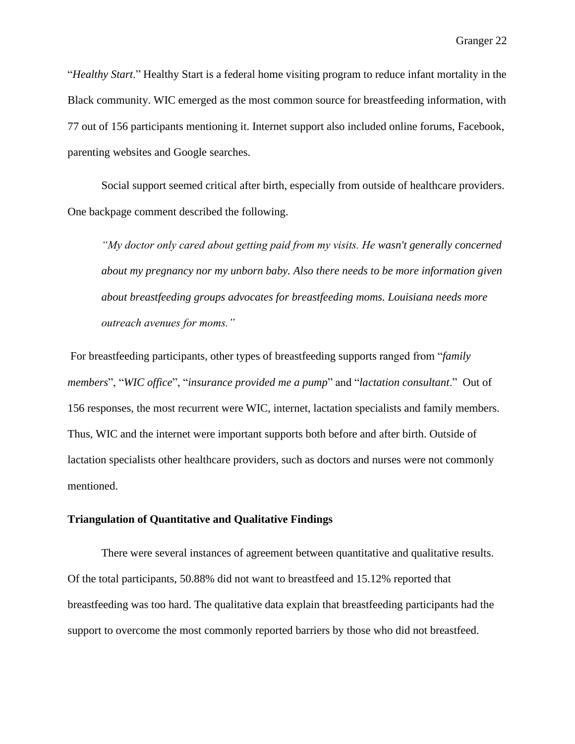"*Healthy Start*." Healthy Start is a federal home visiting program to reduce infant mortality in the Black community. WIC emerged as the most common source for breastfeeding information, with 77 out of 156 participants mentioning it. Internet support also included online forums, Facebook, parenting websites and Google searches.

Social support seemed critical after birth, especially from outside of healthcare providers. One backpage comment described the following.

*"My doctor only cared about getting paid from my visits. He wasn't generally concerned about my pregnancy nor my unborn baby. Also there needs to be more information given about breastfeeding groups advocates for breastfeeding moms. Louisiana needs more outreach avenues for moms."*

For breastfeeding participants, other types of breastfeeding supports ranged from "*family members*", "*WIC office*", "*insurance provided me a pump*" and "*lactation consultant*." Out of 156 responses, the most recurrent were WIC, internet, lactation specialists and family members. Thus, WIC and the internet were important supports both before and after birth. Outside of lactation specialists other healthcare providers, such as doctors and nurses were not commonly mentioned.

### **Triangulation of Quantitative and Qualitative Findings**

There were several instances of agreement between quantitative and qualitative results. Of the total participants, 50.88% did not want to breastfeed and 15.12% reported that breastfeeding was too hard. The qualitative data explain that breastfeeding participants had the support to overcome the most commonly reported barriers by those who did not breastfeed.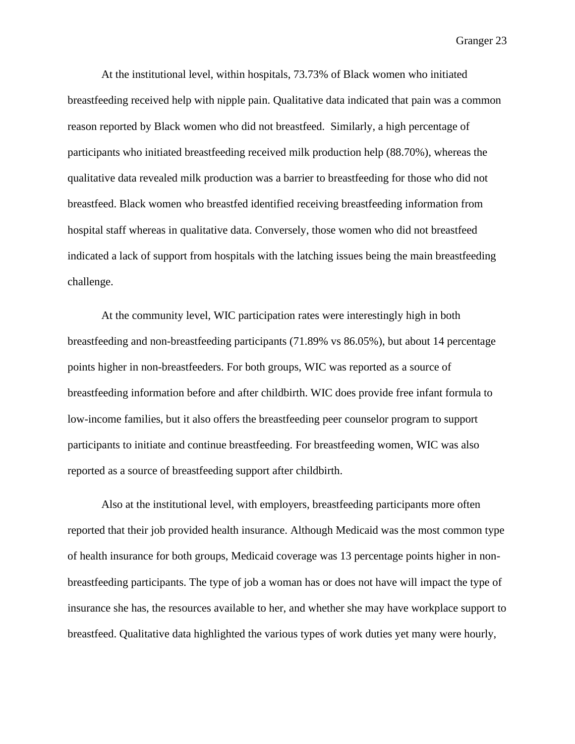At the institutional level, within hospitals, 73.73% of Black women who initiated breastfeeding received help with nipple pain. Qualitative data indicated that pain was a common reason reported by Black women who did not breastfeed. Similarly, a high percentage of participants who initiated breastfeeding received milk production help (88.70%), whereas the qualitative data revealed milk production was a barrier to breastfeeding for those who did not breastfeed. Black women who breastfed identified receiving breastfeeding information from hospital staff whereas in qualitative data. Conversely, those women who did not breastfeed indicated a lack of support from hospitals with the latching issues being the main breastfeeding challenge.

At the community level, WIC participation rates were interestingly high in both breastfeeding and non-breastfeeding participants (71.89% vs 86.05%), but about 14 percentage points higher in non-breastfeeders. For both groups, WIC was reported as a source of breastfeeding information before and after childbirth. WIC does provide free infant formula to low-income families, but it also offers the breastfeeding peer counselor program to support participants to initiate and continue breastfeeding. For breastfeeding women, WIC was also reported as a source of breastfeeding support after childbirth.

Also at the institutional level, with employers, breastfeeding participants more often reported that their job provided health insurance. Although Medicaid was the most common type of health insurance for both groups, Medicaid coverage was 13 percentage points higher in nonbreastfeeding participants. The type of job a woman has or does not have will impact the type of insurance she has, the resources available to her, and whether she may have workplace support to breastfeed. Qualitative data highlighted the various types of work duties yet many were hourly,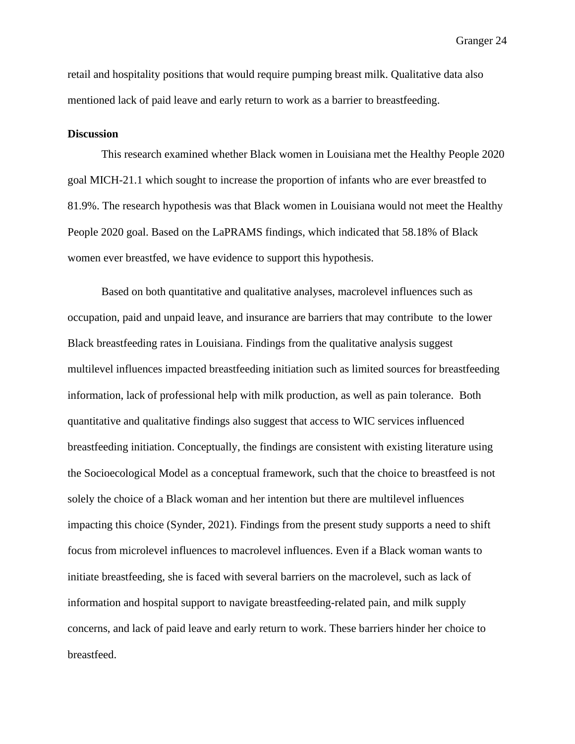retail and hospitality positions that would require pumping breast milk. Qualitative data also mentioned lack of paid leave and early return to work as a barrier to breastfeeding.

### **Discussion**

This research examined whether Black women in Louisiana met the Healthy People 2020 goal MICH-21.1 which sought to increase the proportion of infants who are ever breastfed to 81.9%. The research hypothesis was that Black women in Louisiana would not meet the Healthy People 2020 goal. Based on the LaPRAMS findings, which indicated that 58.18% of Black women ever breastfed, we have evidence to support this hypothesis.

Based on both quantitative and qualitative analyses, macrolevel influences such as occupation, paid and unpaid leave, and insurance are barriers that may contribute to the lower Black breastfeeding rates in Louisiana. Findings from the qualitative analysis suggest multilevel influences impacted breastfeeding initiation such as limited sources for breastfeeding information, lack of professional help with milk production, as well as pain tolerance. Both quantitative and qualitative findings also suggest that access to WIC services influenced breastfeeding initiation. Conceptually, the findings are consistent with existing literature using the Socioecological Model as a conceptual framework, such that the choice to breastfeed is not solely the choice of a Black woman and her intention but there are multilevel influences impacting this choice (Synder, 2021). Findings from the present study supports a need to shift focus from microlevel influences to macrolevel influences. Even if a Black woman wants to initiate breastfeeding, she is faced with several barriers on the macrolevel, such as lack of information and hospital support to navigate breastfeeding-related pain, and milk supply concerns, and lack of paid leave and early return to work. These barriers hinder her choice to breastfeed.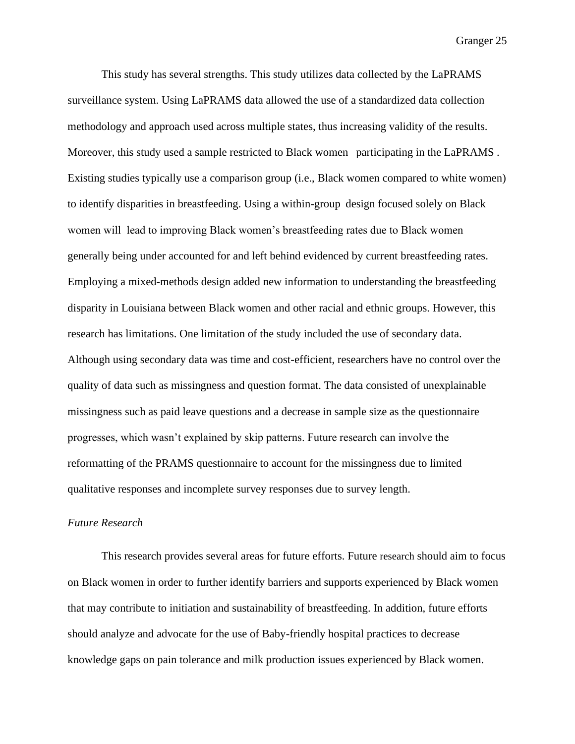This study has several strengths. This study utilizes data collected by the LaPRAMS surveillance system. Using LaPRAMS data allowed the use of a standardized data collection methodology and approach used across multiple states, thus increasing validity of the results. Moreover, this study used a sample restricted to Black women participating in the LaPRAMS . Existing studies typically use a comparison group (i.e., Black women compared to white women) to identify disparities in breastfeeding. Using a within-group design focused solely on Black women will lead to improving Black women's breastfeeding rates due to Black women generally being under accounted for and left behind evidenced by current breastfeeding rates. Employing a mixed-methods design added new information to understanding the breastfeeding disparity in Louisiana between Black women and other racial and ethnic groups. However, this research has limitations. One limitation of the study included the use of secondary data. Although using secondary data was time and cost-efficient, researchers have no control over the quality of data such as missingness and question format. The data consisted of unexplainable missingness such as paid leave questions and a decrease in sample size as the questionnaire progresses, which wasn't explained by skip patterns. Future research can involve the reformatting of the PRAMS questionnaire to account for the missingness due to limited qualitative responses and incomplete survey responses due to survey length.

### *Future Research*

This research provides several areas for future efforts. Future research should aim to focus on Black women in order to further identify barriers and supports experienced by Black women that may contribute to initiation and sustainability of breastfeeding. In addition, future efforts should analyze and advocate for the use of Baby-friendly hospital practices to decrease knowledge gaps on pain tolerance and milk production issues experienced by Black women.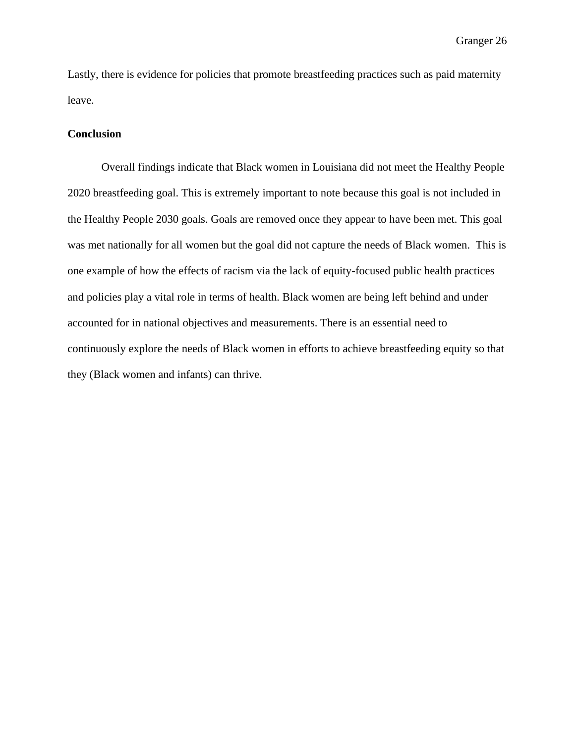Lastly, there is evidence for policies that promote breastfeeding practices such as paid maternity leave.

### **Conclusion**

Overall findings indicate that Black women in Louisiana did not meet the Healthy People 2020 breastfeeding goal. This is extremely important to note because this goal is not included in the Healthy People 2030 goals. Goals are removed once they appear to have been met. This goal was met nationally for all women but the goal did not capture the needs of Black women. This is one example of how the effects of racism via the lack of equity-focused public health practices and policies play a vital role in terms of health. Black women are being left behind and under accounted for in national objectives and measurements. There is an essential need to continuously explore the needs of Black women in efforts to achieve breastfeeding equity so that they (Black women and infants) can thrive.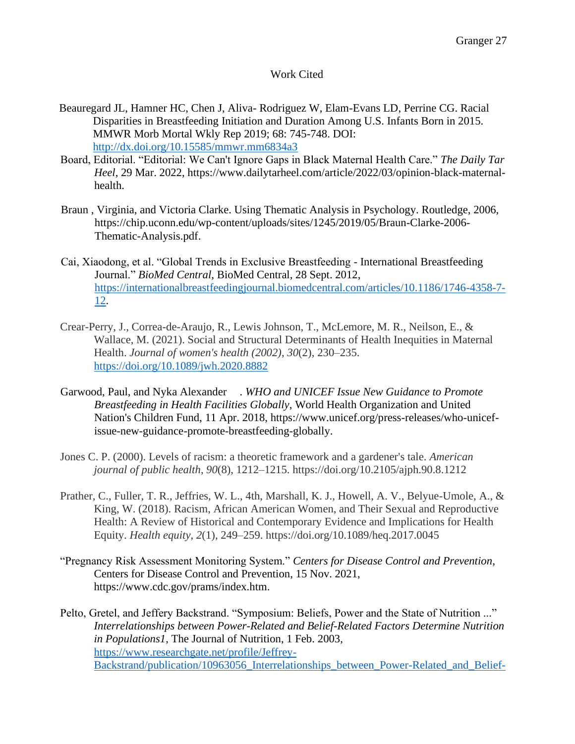### Work Cited

- Beauregard JL, Hamner HC, Chen J, Aliva- Rodriguez W, Elam-Evans LD, Perrine CG. Racial Disparities in Breastfeeding Initiation and Duration Among U.S. Infants Born in 2015. MMWR Morb Mortal Wkly Rep 2019; 68: 745-748. DOI: <http://dx.doi.org/10.15585/mmwr.mm6834a3>
- Board, Editorial. "Editorial: We Can't Ignore Gaps in Black Maternal Health Care." *The Daily Tar Heel*, 29 Mar. 2022, https://www.dailytarheel.com/article/2022/03/opinion-black-maternalhealth.
- Braun , Virginia, and Victoria Clarke. Using Thematic Analysis in Psychology. Routledge, 2006, https://chip.uconn.edu/wp-content/uploads/sites/1245/2019/05/Braun-Clarke-2006- Thematic-Analysis.pdf.
- Cai, Xiaodong, et al. "Global Trends in Exclusive Breastfeeding International Breastfeeding Journal." *BioMed Central*, BioMed Central, 28 Sept. 2012, [https://internationalbreastfeedingjournal.biomedcentral.com/articles/10.1186/1746-4358-7-](https://internationalbreastfeedingjournal.biomedcentral.com/articles/10.1186/1746-4358-7-12) [12.](https://internationalbreastfeedingjournal.biomedcentral.com/articles/10.1186/1746-4358-7-12)
- Crear-Perry, J., Correa-de-Araujo, R., Lewis Johnson, T., McLemore, M. R., Neilson, E., & Wallace, M. (2021). Social and Structural Determinants of Health Inequities in Maternal Health. *Journal of women's health (2002)*, *30*(2), 230–235. <https://doi.org/10.1089/jwh.2020.8882>
- Garwood, Paul, and Nyka Alexander . *WHO and UNICEF Issue New Guidance to Promote Breastfeeding in Health Facilities Globally*, World Health Organization and United Nation's Children Fund, 11 Apr. 2018, https://www.unicef.org/press-releases/who-unicefissue-new-guidance-promote-breastfeeding-globally.
- Jones C. P. (2000). Levels of racism: a theoretic framework and a gardener's tale. *American journal of public health*, *90*(8), 1212–1215. https://doi.org/10.2105/ajph.90.8.1212
- Prather, C., Fuller, T. R., Jeffries, W. L., 4th, Marshall, K. J., Howell, A. V., Belyue-Umole, A., & King, W. (2018). Racism, African American Women, and Their Sexual and Reproductive Health: A Review of Historical and Contemporary Evidence and Implications for Health Equity. *Health equity*, *2*(1), 249–259. https://doi.org/10.1089/heq.2017.0045
- "Pregnancy Risk Assessment Monitoring System." *Centers for Disease Control and Prevention*, Centers for Disease Control and Prevention, 15 Nov. 2021, https://www.cdc.gov/prams/index.htm.

Pelto, Gretel, and Jeffery Backstrand. "Symposium: Beliefs, Power and the State of Nutrition ..." *Interrelationships between Power-Related and Belief-Related Factors Determine Nutrition in Populations1*, The Journal of Nutrition, 1 Feb. 2003, [https://www.researchgate.net/profile/Jeffrey-](https://www.researchgate.net/profile/Jeffrey-Backstrand/publication/10963056_Interrelationships_between_Power-Related_and_Belief-Related_Factors_Determine_Nutrition_in_Populations1/links/5a7231e2a6fdcc53fe128c87/Interrelationships-between-Power-Related-and-Belief-Related-Factors-Determine-Nutrition-in-Populations1.pdf)[Backstrand/publication/10963056\\_Interrelationships\\_between\\_Power-Related\\_and\\_Belief-](https://www.researchgate.net/profile/Jeffrey-Backstrand/publication/10963056_Interrelationships_between_Power-Related_and_Belief-Related_Factors_Determine_Nutrition_in_Populations1/links/5a7231e2a6fdcc53fe128c87/Interrelationships-between-Power-Related-and-Belief-Related-Factors-Determine-Nutrition-in-Populations1.pdf)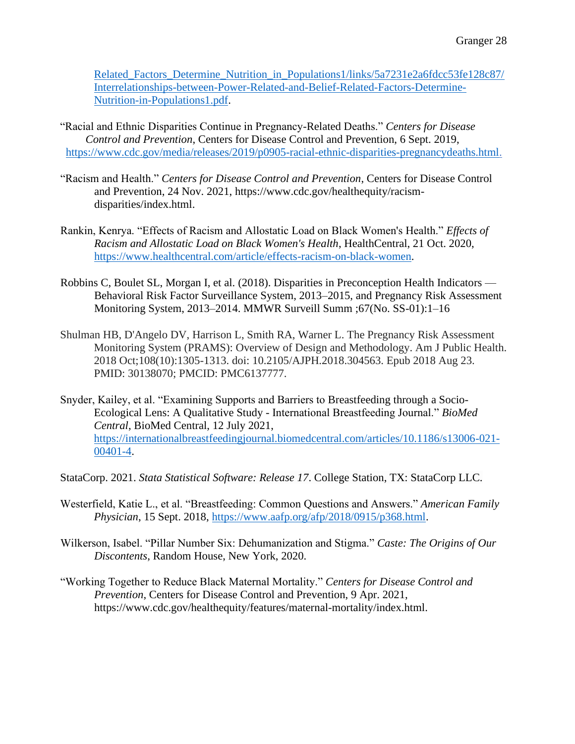Related Factors Determine Nutrition in Populations1/links/5a7231e2a6fdcc53fe128c87/ [Interrelationships-between-Power-Related-and-Belief-Related-Factors-Determine-](https://www.researchgate.net/profile/Jeffrey-Backstrand/publication/10963056_Interrelationships_between_Power-Related_and_Belief-Related_Factors_Determine_Nutrition_in_Populations1/links/5a7231e2a6fdcc53fe128c87/Interrelationships-between-Power-Related-and-Belief-Related-Factors-Determine-Nutrition-in-Populations1.pdf)[Nutrition-in-Populations1.pdf.](https://www.researchgate.net/profile/Jeffrey-Backstrand/publication/10963056_Interrelationships_between_Power-Related_and_Belief-Related_Factors_Determine_Nutrition_in_Populations1/links/5a7231e2a6fdcc53fe128c87/Interrelationships-between-Power-Related-and-Belief-Related-Factors-Determine-Nutrition-in-Populations1.pdf)

"Racial and Ethnic Disparities Continue in Pregnancy-Related Deaths." *Centers for Disease Control and Prevention*, Centers for Disease Control and Prevention, 6 Sept. 2019, [https://www.cdc.gov/media/releases/2019/p0905-racial-ethnic-disparities-pregnancydeaths.html.](https://www.cdc.gov/media/releases/2019/p0905-racial-ethnic-disparities-pregnancydeaths.html)

- "Racism and Health." *Centers for Disease Control and Prevention*, Centers for Disease Control and Prevention, 24 Nov. 2021, https://www.cdc.gov/healthequity/racismdisparities/index.html.
- Rankin, Kenrya. "Effects of Racism and Allostatic Load on Black Women's Health." *Effects of Racism and Allostatic Load on Black Women's Health*, HealthCentral, 21 Oct. 2020, [https://www.healthcentral.com/article/effects-racism-on-black-women.](https://www.healthcentral.com/article/effects-racism-on-black-women)
- Robbins C, Boulet SL, Morgan I, et al. (2018). Disparities in Preconception Health Indicators Behavioral Risk Factor Surveillance System, 2013–2015, and Pregnancy Risk Assessment Monitoring System, 2013–2014. MMWR Surveill Summ ;67(No. SS-01):1–16
- Shulman HB, D'Angelo DV, Harrison L, Smith RA, Warner L. The Pregnancy Risk Assessment Monitoring System (PRAMS): Overview of Design and Methodology. Am J Public Health. 2018 Oct;108(10):1305-1313. doi: 10.2105/AJPH.2018.304563. Epub 2018 Aug 23. PMID: 30138070; PMCID: PMC6137777.
- Snyder, Kailey, et al. "Examining Supports and Barriers to Breastfeeding through a Socio-Ecological Lens: A Qualitative Study - International Breastfeeding Journal." *BioMed Central*, BioMed Central, 12 July 2021, [https://internationalbreastfeedingjournal.biomedcentral.com/articles/10.1186/s13006-021-](https://internationalbreastfeedingjournal.biomedcentral.com/articles/10.1186/s13006-021-00401-4) [00401-4.](https://internationalbreastfeedingjournal.biomedcentral.com/articles/10.1186/s13006-021-00401-4)

StataCorp. 2021. *Stata Statistical Software: Release 17*. College Station, TX: StataCorp LLC.

- Westerfield, Katie L., et al. "Breastfeeding: Common Questions and Answers." *American Family Physician*, 15 Sept. 2018, [https://www.aafp.org/afp/2018/0915/p368.html.](https://www.aafp.org/afp/2018/0915/p368.html)
- Wilkerson, Isabel. "Pillar Number Six: Dehumanization and Stigma." *Caste: The Origins of Our Discontents*, Random House, New York, 2020.
- "Working Together to Reduce Black Maternal Mortality." *Centers for Disease Control and Prevention*, Centers for Disease Control and Prevention, 9 Apr. 2021, https://www.cdc.gov/healthequity/features/maternal-mortality/index.html.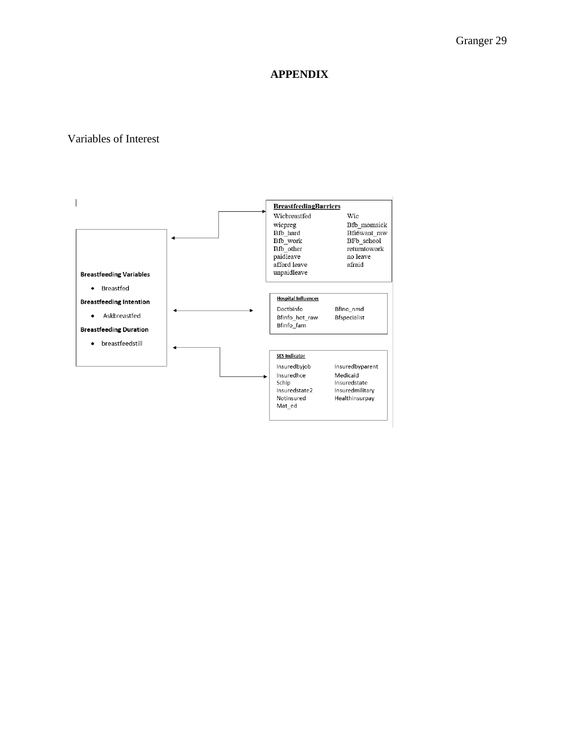# **APPENDIX**

### Variables of Interest